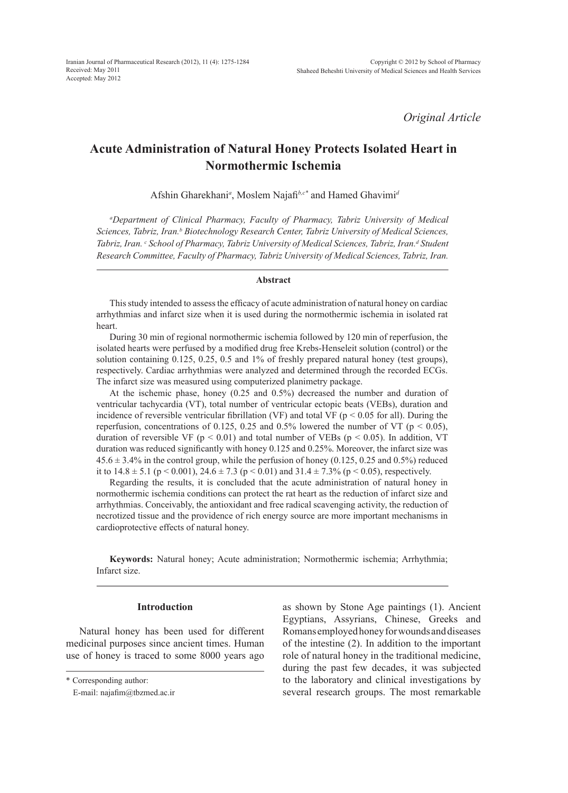*Original Article*

# **Acute Administration of Natural Honey Protects Isolated Heart in Normothermic Ischemia**

Afshin Gharekhani*<sup>a</sup>* , Moslem Najafi*b,c\** and Hamed Ghavimi*<sup>d</sup>*

*a Department of Clinical Pharmacy, Faculty of Pharmacy, Tabriz University of Medical Sciences, Tabriz, Iran.b Biotechnology Research Center, Tabriz University of Medical Sciences,*  Tabriz, Iran. <sup>c</sup> School of Pharmacy, Tabriz University of Medical Sciences, Tabriz, Iran.<sup>d</sup> Student *Research Committee, Faculty of Pharmacy, Tabriz University of Medical Sciences, Tabriz, Iran.*

#### **Abstract**

This study intended to assess the efficacy of acute administration of natural honey on cardiac arrhythmias and infarct size when it is used during the normothermic ischemia in isolated rat heart.

During 30 min of regional normothermic ischemia followed by 120 min of reperfusion, the isolated hearts were perfused by a modified drug free Krebs-Henseleit solution (control) or the solution containing 0.125, 0.25, 0.5 and 1% of freshly prepared natural honey (test groups), respectively. Cardiac arrhythmias were analyzed and determined through the recorded ECGs. The infarct size was measured using computerized planimetry package.

At the ischemic phase, honey (0.25 and 0.5%) decreased the number and duration of ventricular tachycardia (VT), total number of ventricular ectopic beats (VEBs), duration and incidence of reversible ventricular fibrillation (VF) and total VF ( $p < 0.05$  for all). During the reperfusion, concentrations of 0.125, 0.25 and 0.5% lowered the number of VT ( $p < 0.05$ ), duration of reversible VF ( $p < 0.01$ ) and total number of VEBs ( $p < 0.05$ ). In addition, VT duration was reduced significantly with honey 0.125 and 0.25%. Moreover, the infarct size was  $45.6 \pm 3.4\%$  in the control group, while the perfusion of honey (0.125, 0.25 and 0.5%) reduced it to  $14.8 \pm 5.1$  (p < 0.001),  $24.6 \pm 7.3$  (p < 0.01) and  $31.4 \pm 7.3$ % (p < 0.05), respectively.

Regarding the results, it is concluded that the acute administration of natural honey in normothermic ischemia conditions can protect the rat heart as the reduction of infarct size and arrhythmias. Conceivably, the antioxidant and free radical scavenging activity, the reduction of necrotized tissue and the providence of rich energy source are more important mechanisms in cardioprotective effects of natural honey.

**Keywords:** Natural honey; Acute administration; Normothermic ischemia; Arrhythmia; Infarct size.

## **Introduction**

Natural honey has been used for different medicinal purposes since ancient times. Human use of honey is traced to some 8000 years ago as shown by Stone Age paintings (1). Ancient Egyptians, Assyrians, Chinese, Greeks and Romans employed honey for wounds and diseases of the intestine (2). In addition to the important role of natural honey in the traditional medicine, during the past few decades, it was subjected to the laboratory and clinical investigations by several research groups. The most remarkable

<sup>\*</sup> Corresponding author:

E-mail: najafim@tbzmed.ac.ir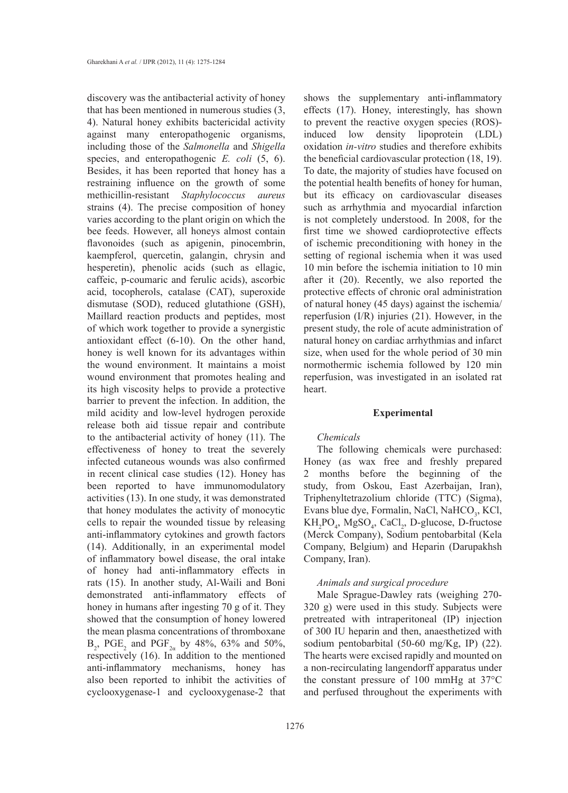discovery was the antibacterial activity of honey that has been mentioned in numerous studies (3, 4). Natural honey exhibits bactericidal activity against many enteropathogenic organisms, including those of the *Salmonella* and *Shigella* species, and enteropathogenic *E. coli* (5, 6). Besides, it has been reported that honey has a restraining influence on the growth of some methicillin-resistant *Staphylococcus aureus* strains (4). The precise composition of honey varies according to the plant origin on which the bee feeds. However, all honeys almost contain flavonoides (such as apigenin, pinocembrin, kaempferol, quercetin, galangin, chrysin and hesperetin), phenolic acids (such as ellagic, caffeic, p-coumaric and ferulic acids), ascorbic acid, tocopherols, catalase (CAT), superoxide dismutase (SOD), reduced glutathione (GSH), Maillard reaction products and peptides, most of which work together to provide a synergistic antioxidant effect (6-10). On the other hand, honey is well known for its advantages within the wound environment. It maintains a moist wound environment that promotes healing and its high viscosity helps to provide a protective barrier to prevent the infection. In addition, the mild acidity and low-level hydrogen peroxide release both aid tissue repair and contribute to the antibacterial activity of honey (11). The effectiveness of honey to treat the severely infected cutaneous wounds was also confirmed in recent clinical case studies (12). Honey has been reported to have immunomodulatory activities (13). In one study, it was demonstrated that honey modulates the activity of monocytic cells to repair the wounded tissue by releasing anti-inflammatory cytokines and growth factors (14). Additionally, in an experimental model of inflammatory bowel disease, the oral intake of honey had anti-inflammatory effects in rats (15). In another study, Al-Waili and Boni demonstrated anti-inflammatory effects of honey in humans after ingesting 70 g of it. They showed that the consumption of honey lowered the mean plasma concentrations of thromboxane  $B_2$ , PGE<sub>2</sub> and PGF<sub>2*a*</sub> by 48%, 63% and 50%, respectively (16). In addition to the mentioned anti-inflammatory mechanisms, honey has also been reported to inhibit the activities of cyclooxygenase-1 and cyclooxygenase-2 that

shows the supplementary anti-inflammatory effects (17). Honey, interestingly, has shown to prevent the reactive oxygen species (ROS) induced low density lipoprotein (LDL) oxidation *in-vitro* studies and therefore exhibits the beneficial cardiovascular protection (18, 19). To date, the majority of studies have focused on the potential health benefits of honey for human, but its efficacy on cardiovascular diseases such as arrhythmia and myocardial infarction is not completely understood. In 2008, for the first time we showed cardioprotective effects of ischemic preconditioning with honey in the setting of regional ischemia when it was used 10 min before the ischemia initiation to 10 min after it (20). Recently, we also reported the protective effects of chronic oral administration of natural honey (45 days) against the ischemia/ reperfusion (I/R) injuries (21). However, in the present study, the role of acute administration of natural honey on cardiac arrhythmias and infarct size, when used for the whole period of 30 min normothermic ischemia followed by 120 min reperfusion, was investigated in an isolated rat heart.

## **Experimental**

## *Chemicals*

The following chemicals were purchased: Honey (as wax free and freshly prepared 2 months before the beginning of the study, from Oskou, East Azerbaijan, Iran), Triphenyltetrazolium chloride (TTC) (Sigma), Evans blue dye, Formalin, NaCl, NaHCO<sub>3</sub>, KCl,  $KH_2PO_4$ , MgSO<sub>4</sub>, CaCl<sub>2</sub>, D-glucose, D-fructose (Merck Company), Sodium pentobarbital (Kela Company, Belgium) and Heparin (Darupakhsh Company, Iran).

## *Animals and surgical procedure*

Male Sprague-Dawley rats (weighing 270- 320 g) were used in this study. Subjects were pretreated with intraperitoneal (IP) injection of 300 IU heparin and then, anaesthetized with sodium pentobarbital (50-60 mg/Kg, IP) (22). The hearts were excised rapidly and mounted on a non-recirculating langendorff apparatus under the constant pressure of 100 mmHg at 37°C and perfused throughout the experiments with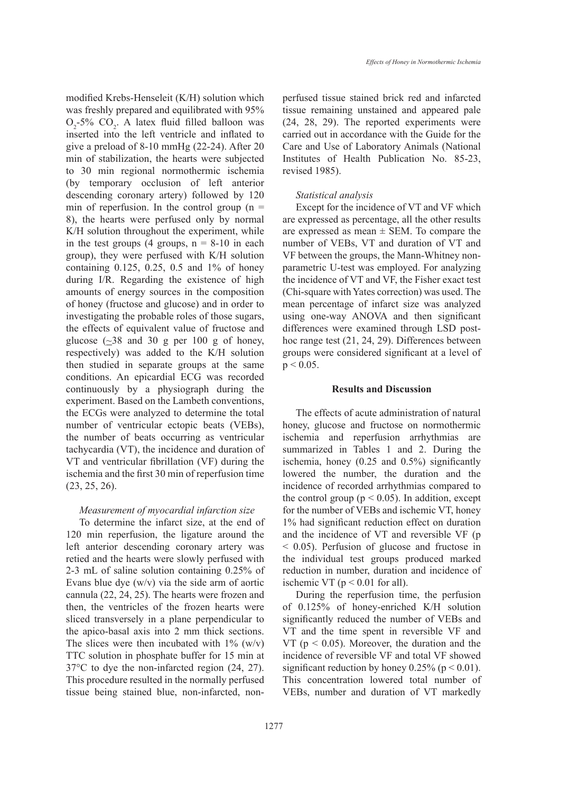modified Krebs-Henseleit (K/H) solution which was freshly prepared and equilibrated with 95%  $O_2$ -5%  $CO_2$ . A latex fluid filled balloon was inserted into the left ventricle and inflated to give a preload of 8-10 mmHg (22-24). After 20 min of stabilization, the hearts were subjected to 30 min regional normothermic ischemia (by temporary occlusion of left anterior descending coronary artery) followed by 120 min of reperfusion. In the control group  $(n =$ 8), the hearts were perfused only by normal K/H solution throughout the experiment, while in the test groups  $(4 \text{ groups}, n = 8-10 \text{ in each})$ group), they were perfused with K/H solution containing 0.125, 0.25, 0.5 and 1% of honey during I/R. Regarding the existence of high amounts of energy sources in the composition of honey (fructose and glucose) and in order to investigating the probable roles of those sugars, the effects of equivalent value of fructose and glucose  $\sim$  38 and 30 g per 100 g of honey, respectively) was added to the K/H solution then studied in separate groups at the same conditions. An epicardial ECG was recorded continuously by a physiograph during the experiment. Based on the Lambeth conventions, the ECGs were analyzed to determine the total number of ventricular ectopic beats (VEBs), the number of beats occurring as ventricular tachycardia (VT), the incidence and duration of VT and ventricular fibrillation (VF) during the ischemia and the first 30 min of reperfusion time (23, 25, 26).

## *Measurement of myocardial infarction size*

To determine the infarct size, at the end of 120 min reperfusion, the ligature around the left anterior descending coronary artery was retied and the hearts were slowly perfused with 2-3 mL of saline solution containing 0.25% of Evans blue dye  $(w/v)$  via the side arm of aortic cannula (22, 24, 25). The hearts were frozen and then, the ventricles of the frozen hearts were sliced transversely in a plane perpendicular to the apico-basal axis into 2 mm thick sections. The slices were then incubated with  $1\%$  (w/v) TTC solution in phosphate buffer for 15 min at 37°C to dye the non-infarcted region (24, 27). This procedure resulted in the normally perfused tissue being stained blue, non-infarcted, nonperfused tissue stained brick red and infarcted tissue remaining unstained and appeared pale (24, 28, 29). The reported experiments were carried out in accordance with the Guide for the Care and Use of Laboratory Animals (National Institutes of Health Publication No. 85-23, revised 1985).

#### *Statistical analysis*

Except for the incidence of VT and VF which are expressed as percentage, all the other results are expressed as mean  $\pm$  SEM. To compare the number of VEBs, VT and duration of VT and VF between the groups, the Mann-Whitney nonparametric U-test was employed. For analyzing the incidence of VT and VF, the Fisher exact test (Chi-square with Yates correction) was used. The mean percentage of infarct size was analyzed using one-way ANOVA and then significant differences were examined through LSD posthoc range test (21, 24, 29). Differences between groups were considered significant at a level of  $p < 0.05$ .

# **Results and Discussion**

The effects of acute administration of natural honey, glucose and fructose on normothermic ischemia and reperfusion arrhythmias are summarized in Tables 1 and 2. During the ischemia, honey (0.25 and 0.5%) significantly lowered the number, the duration and the incidence of recorded arrhythmias compared to the control group ( $p < 0.05$ ). In addition, except for the number of VEBs and ischemic VT, honey 1% had significant reduction effect on duration and the incidence of VT and reversible VF (p < 0.05). Perfusion of glucose and fructose in the individual test groups produced marked reduction in number, duration and incidence of ischemic VT ( $p < 0.01$  for all).

During the reperfusion time, the perfusion of 0.125% of honey-enriched K/H solution significantly reduced the number of VEBs and VT and the time spent in reversible VF and VT ( $p < 0.05$ ). Moreover, the duration and the incidence of reversible VF and total VF showed significant reduction by honey  $0.25\%$  (p < 0.01). This concentration lowered total number of VEBs, number and duration of VT markedly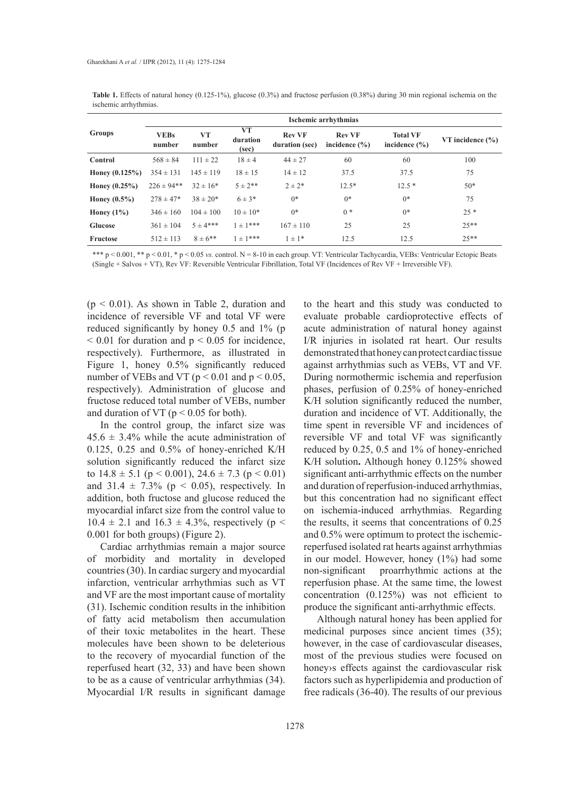| Groups            | Ischemic arrhythmias  |               |                         |                                 |                                    |                                      |                      |  |  |  |  |
|-------------------|-----------------------|---------------|-------------------------|---------------------------------|------------------------------------|--------------------------------------|----------------------|--|--|--|--|
|                   | <b>VEBs</b><br>number | VT<br>number  | VT<br>duration<br>(sec) | <b>Rev VF</b><br>duration (sec) | <b>Rev VF</b><br>incidence $(\% )$ | <b>Total VF</b><br>incidence $(\% )$ | VT incidence $(\% )$ |  |  |  |  |
| Control           | $568 \pm 84$          | $111 \pm 22$  | $18 \pm 4$              | $44 \pm 27$                     | 60                                 | 60                                   | 100                  |  |  |  |  |
| Honey $(0.125\%)$ | $354 \pm 131$         | $145 \pm 119$ | $18 \pm 15$             | $14 \pm 12$                     | 37.5                               | 37.5                                 | 75                   |  |  |  |  |
| Honey $(0.25\%)$  | $226 \pm 94$ **       | $32 \pm 16*$  | $5 \pm 2^{**}$          | $2 \pm 2*$                      | $12.5*$                            | $12.5*$                              | $50*$                |  |  |  |  |
| Honey $(0.5\%)$   | $278 \pm 47*$         | $38 \pm 20*$  | $6 \pm 3*$              | $0*$                            | $0*$                               | $0*$                                 | 75                   |  |  |  |  |
| Honey $(1\%)$     | $346 \pm 160$         | $104 \pm 100$ | $10 \pm 10^*$           | $0*$                            | $0 *$                              | $0*$                                 | $25 *$               |  |  |  |  |
| <b>Glucose</b>    | $361 \pm 104$         | $5 + 4***$    | $1 \pm 1***$            | $167 \pm 110$                   | 25                                 | 25                                   | $25**$               |  |  |  |  |
| Fructose          | $512 \pm 113$         | $8 \pm 6$ **  | $1 \pm 1***$            | $1 \pm 1*$                      | 12.5                               | 12.5                                 | $25**$               |  |  |  |  |

**Table 1.** Effects of natural honey (0.125-1%), glucose (0.3%) and fructose perfusion (0.38%) during 30 min regional ischemia on the ischemic arrhythmias.

\*\*\* p < 0.001, \*\* p < 0.01, \* p < 0.05 *vs.* control. N = 8-10 in each group. VT: Ventricular Tachycardia, VEBs: Ventricular Ectopic Beats (Single + Salvos + VT), Rev VF: Reversible Ventricular Fibrillation, Total VF (Incidences of Rev VF + Irreversible VF).

 $(p < 0.01)$ . As shown in Table 2, duration and incidence of reversible VF and total VF were reduced significantly by honey 0.5 and 1% (p  $\leq 0.01$  for duration and  $p \leq 0.05$  for incidence, respectively). Furthermore, as illustrated in Figure 1, honey 0.5% significantly reduced number of VEBs and VT ( $p < 0.01$  and  $p < 0.05$ , respectively). Administration of glucose and fructose reduced total number of VEBs, number and duration of VT ( $p < 0.05$  for both).

In the control group, the infarct size was  $45.6 \pm 3.4\%$  while the acute administration of 0.125, 0.25 and 0.5% of honey-enriched K/H solution significantly reduced the infarct size to  $14.8 \pm 5.1$  (p < 0.001),  $24.6 \pm 7.3$  (p < 0.01) and  $31.4 \pm 7.3\%$  (p < 0.05), respectively. In addition, both fructose and glucose reduced the myocardial infarct size from the control value to  $10.4 \pm 2.1$  and  $16.3 \pm 4.3%$ , respectively (p < 0.001 for both groups) (Figure 2).

Cardiac arrhythmias remain a major source of morbidity and mortality in developed countries (30). In cardiac surgery and myocardial infarction, ventricular arrhythmias such as VT and VF are the most important cause of mortality (31). Ischemic condition results in the inhibition of fatty acid metabolism then accumulation of their toxic metabolites in the heart. These molecules have been shown to be deleterious to the recovery of myocardial function of the reperfused heart (32, 33) and have been shown to be as a cause of ventricular arrhythmias (34). Myocardial I/R results in significant damage

to the heart and this study was conducted to evaluate probable cardioprotective effects of acute administration of natural honey against I/R injuries in isolated rat heart. Our results demonstrated that honey can protect cardiac tissue against arrhythmias such as VEBs, VT and VF. During normothermic ischemia and reperfusion phases, perfusion of 0.25% of honey-enriched K/H solution significantly reduced the number, duration and incidence of VT. Additionally, the time spent in reversible VF and incidences of reversible VF and total VF was significantly reduced by 0.25, 0.5 and 1% of honey-enriched K/H solution**.** Although honey 0.125% showed significant anti-arrhythmic effects on the number and duration of reperfusion-induced arrhythmias, but this concentration had no significant effect on ischemia-induced arrhythmias. Regarding the results, it seems that concentrations of 0.25 and 0.5% were optimum to protect the ischemicreperfused isolated rat hearts against arrhythmias in our model. However, honey (1%) had some non-significant proarrhythmic actions at the reperfusion phase. At the same time, the lowest concentration (0.125%) was not efficient to produce the significant anti-arrhythmic effects.

Although natural honey has been applied for medicinal purposes since ancient times (35); however, in the case of cardiovascular diseases, most of the previous studies were focused on honey›s effects against the cardiovascular risk factors such as hyperlipidemia and production of free radicals (36-40). The results of our previous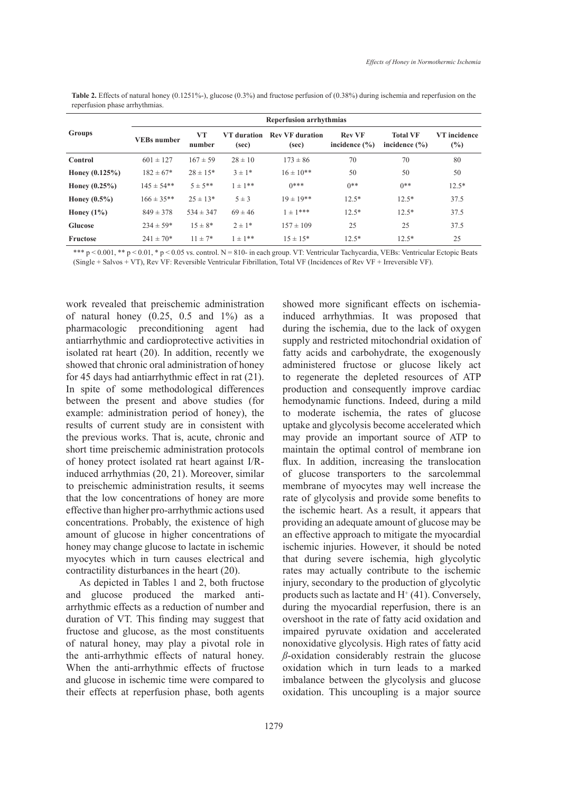| Groups           | <b>Reperfusion arrhythmias</b> |               |                             |                                 |                                    |                                      |                        |  |  |  |
|------------------|--------------------------------|---------------|-----------------------------|---------------------------------|------------------------------------|--------------------------------------|------------------------|--|--|--|
|                  | <b>VEBs</b> number             | VT<br>number  | <b>VT</b> duration<br>(sec) | <b>Rev VF</b> duration<br>(sec) | <b>Rev VF</b><br>incidence $(\% )$ | <b>Total VF</b><br>incidence $(\% )$ | VT incidence<br>$(\%)$ |  |  |  |
| Control          | $601 \pm 127$                  | $167 \pm 59$  | $28 \pm 10$                 | $173 \pm 86$                    | 70                                 | 70                                   | 80                     |  |  |  |
| Honey $(0.125%)$ | $182 \pm 67*$                  | $28 \pm 15*$  | $3 \pm 1*$                  | $16 \pm 10^{**}$                | 50                                 | 50                                   | 50                     |  |  |  |
| Honey $(0.25\%)$ | $145 \pm 54$ **                | $5 + 5**$     | $1 \pm 1$ **                | $()***$                         | $0**$                              | $0**$                                | $12.5*$                |  |  |  |
| Honey $(0.5\%)$  | $166 \pm 35**$                 | $25 \pm 13*$  | $5 \pm 3$                   | $19 \pm 19$ **                  | $12.5*$                            | $12.5*$                              | 37.5                   |  |  |  |
| Honey $(1\%)$    | $849 \pm 378$                  | $534 \pm 347$ | $69 \pm 46$                 | $+\pm 1***$                     | $12.5*$                            | $12.5*$                              | 37.5                   |  |  |  |
| <b>Glucose</b>   | $234 \pm 59*$                  | $15 \pm 8^*$  | $2 \pm 1*$                  | $157 \pm 109$                   | 25                                 | 25                                   | 37.5                   |  |  |  |
| Fructose         | $241 \pm 70*$                  | $11 \pm 7*$   | $1 \pm 1**$                 | $15 \pm 15*$                    | $12.5*$                            | $12.5*$                              | 25                     |  |  |  |

**Table 2.** Effects of natural honey (0.1251%-), glucose (0.3%) and fructose perfusion of (0.38%) during ischemia and reperfusion on the reperfusion phase arrhythmias.

\*\*\* p < 0.001, \*\* p < 0.01, \* p < 0.05 vs. control. N = 810- in each group. VT: Ventricular Tachycardia, VEBs: Ventricular Ectopic Beats (Single + Salvos + VT), Rev VF: Reversible Ventricular Fibrillation, Total VF (Incidences of Rev VF + Irreversible VF).

work revealed that preischemic administration of natural honey  $(0.25, 0.5 \text{ and } 1\%)$  as a pharmacologic preconditioning agent had antiarrhythmic and cardioprotective activities in isolated rat heart (20). In addition, recently we showed that chronic oral administration of honey for 45 days had antiarrhythmic effect in rat (21). In spite of some methodological differences between the present and above studies (for example: administration period of honey), the results of current study are in consistent with the previous works. That is, acute, chronic and short time preischemic administration protocols of honey protect isolated rat heart against I/Rinduced arrhythmias (20, 21). Moreover, similar to preischemic administration results, it seems that the low concentrations of honey are more effective than higher pro-arrhythmic actions used concentrations. Probably, the existence of high amount of glucose in higher concentrations of honey may change glucose to lactate in ischemic myocytes which in turn causes electrical and contractility disturbances in the heart (20).

As depicted in Tables 1 and 2, both fructose and glucose produced the marked antiarrhythmic effects as a reduction of number and duration of VT. This finding may suggest that fructose and glucose, as the most constituents of natural honey, may play a pivotal role in the anti-arrhythmic effects of natural honey. When the anti-arrhythmic effects of fructose and glucose in ischemic time were compared to their effects at reperfusion phase, both agents

showed more significant effects on ischemiainduced arrhythmias. It was proposed that during the ischemia, due to the lack of oxygen supply and restricted mitochondrial oxidation of fatty acids and carbohydrate, the exogenously administered fructose or glucose likely act to regenerate the depleted resources of ATP production and consequently improve cardiac hemodynamic functions. Indeed, during a mild to moderate ischemia, the rates of glucose uptake and glycolysis become accelerated which may provide an important source of ATP to maintain the optimal control of membrane ion flux. In addition, increasing the translocation of glucose transporters to the sarcolemmal membrane of myocytes may well increase the rate of glycolysis and provide some benefits to the ischemic heart. As a result, it appears that providing an adequate amount of glucose may be an effective approach to mitigate the myocardial ischemic injuries. However, it should be noted that during severe ischemia, high glycolytic rates may actually contribute to the ischemic injury, secondary to the production of glycolytic products such as lactate and  $H^+(41)$ . Conversely, during the myocardial reperfusion, there is an overshoot in the rate of fatty acid oxidation and impaired pyruvate oxidation and accelerated nonoxidative glycolysis. High rates of fatty acid *ß*-oxidation considerably restrain the glucose oxidation which in turn leads to a marked imbalance between the glycolysis and glucose oxidation. This uncoupling is a major source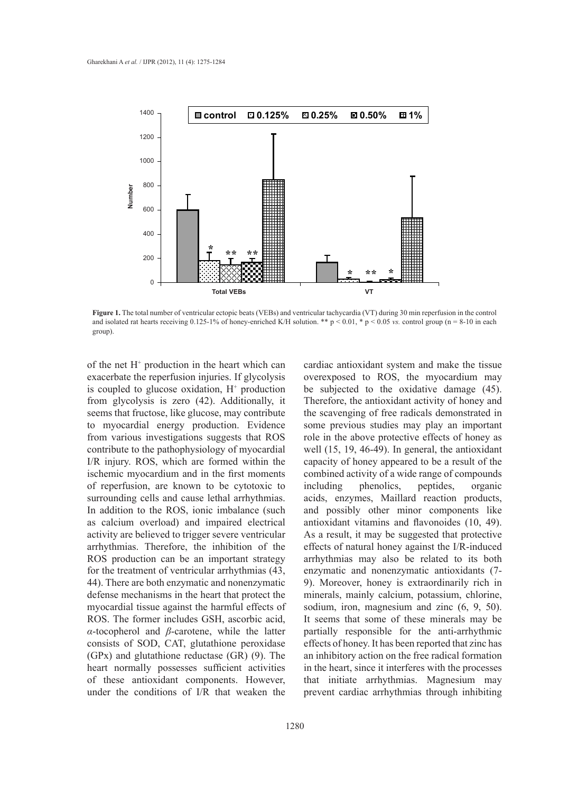

**Figure 1.** The total number of ventricular ectopic beats (VEBs) and ventricular tachycardia (VT) during 30 min reperfusion in the control and isolated rat hearts receiving  $0.125-1\%$  of honey-enriched K/H solution. \*\* p < 0.01, \* p < 0.05 *vs.* control group (n = 8-10 in each group).

of the net  $H^+$  production in the heart which can exacerbate the reperfusion injuries. If glycolysis is coupled to glucose oxidation,  $H^+$  production from glycolysis is zero (42). Additionally, it seems that fructose, like glucose, may contribute to myocardial energy production. Evidence from various investigations suggests that ROS contribute to the pathophysiology of myocardial I/R injury. ROS, which are formed within the ischemic myocardium and in the first moments of reperfusion, are known to be cytotoxic to surrounding cells and cause lethal arrhythmias. In addition to the ROS, ionic imbalance (such as calcium overload) and impaired electrical activity are believed to trigger severe ventricular arrhythmias. Therefore, the inhibition of the ROS production can be an important strategy for the treatment of ventricular arrhythmias (43, 44). There are both enzymatic and nonenzymatic defense mechanisms in the heart that protect the myocardial tissue against the harmful effects of ROS. The former includes GSH, ascorbic acid, *α*-tocopherol and *β*-carotene, while the latter consists of SOD, CAT, glutathione peroxidase (GPx) and glutathione reductase (GR) (9). The heart normally possesses sufficient activities of these antioxidant components. However, under the conditions of I/R that weaken the

cardiac antioxidant system and make the tissue overexposed to ROS, the myocardium may be subjected to the oxidative damage (45). Therefore, the antioxidant activity of honey and the scavenging of free radicals demonstrated in some previous studies may play an important role in the above protective effects of honey as well (15, 19, 46-49). In general, the antioxidant capacity of honey appeared to be a result of the combined activity of a wide range of compounds including phenolics, peptides, organic acids, enzymes, Maillard reaction products, and possibly other minor components like antioxidant vitamins and flavonoides (10, 49). As a result, it may be suggested that protective effects of natural honey against the I/R-induced arrhythmias may also be related to its both enzymatic and nonenzymatic antioxidants (7- 9). Moreover, honey is extraordinarily rich in minerals, mainly calcium, potassium, chlorine, sodium, iron, magnesium and zinc (6, 9, 50). It seems that some of these minerals may be partially responsible for the anti-arrhythmic effects of honey. It has been reported that zinc has an inhibitory action on the free radical formation in the heart, since it interferes with the processes that initiate arrhythmias. Magnesium may prevent cardiac arrhythmias through inhibiting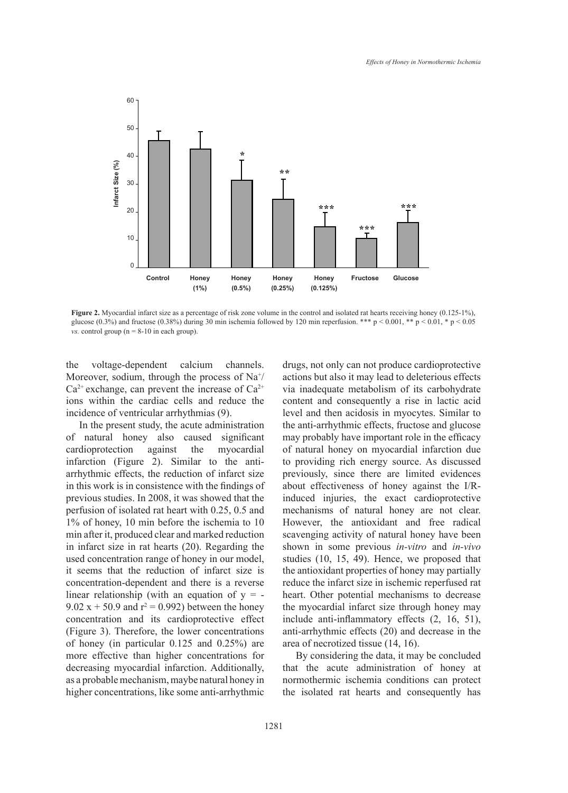

**Figure 2.** Myocardial infarct size as a percentage of risk zone volume in the control and isolated rat hearts receiving honey (0.125-1%), glucose (0.3%) and fructose (0.38%) during 30 min ischemia followed by 120 min reperfusion. \*\*\* p < 0.001, \*\* p < 0.01, \* p < 0.05 *vs.* control group ( $n = 8-10$  in each group).

the voltage-dependent calcium channels. Moreover, sodium, through the process of  $\text{Na}^+\text{/}$  $Ca^{2+}$  exchange, can prevent the increase of  $Ca^{2+}$ ions within the cardiac cells and reduce the incidence of ventricular arrhythmias (9).

In the present study, the acute administration of natural honey also caused significant cardioprotection against the myocardial infarction (Figure 2). Similar to the antiarrhythmic effects, the reduction of infarct size in this work is in consistence with the findings of previous studies. In 2008, it was showed that the perfusion of isolated rat heart with 0.25, 0.5 and 1% of honey, 10 min before the ischemia to 10 min after it, produced clear and marked reduction in infarct size in rat hearts (20). Regarding the used concentration range of honey in our model, it seems that the reduction of infarct size is concentration-dependent and there is a reverse linear relationship (with an equation of  $y = -$ 9.02 x + 50.9 and  $r^2 = 0.992$ ) between the honey concentration and its cardioprotective effect (Figure 3). Therefore, the lower concentrations of honey (in particular 0.125 and 0.25%) are more effective than higher concentrations for decreasing myocardial infarction. Additionally, as a probable mechanism, maybe natural honey in higher concentrations, like some anti-arrhythmic

drugs, not only can not produce cardioprotective actions but also it may lead to deleterious effects via inadequate metabolism of its carbohydrate content and consequently a rise in lactic acid level and then acidosis in myocytes. Similar to the anti-arrhythmic effects, fructose and glucose may probably have important role in the efficacy of natural honey on myocardial infarction due to providing rich energy source. As discussed previously, since there are limited evidences about effectiveness of honey against the I/Rinduced injuries, the exact cardioprotective mechanisms of natural honey are not clear. However, the antioxidant and free radical scavenging activity of natural honey have been shown in some previous *in-vitro* and *in-vivo* studies (10, 15, 49). Hence, we proposed that the antioxidant properties of honey may partially reduce the infarct size in ischemic reperfused rat heart. Other potential mechanisms to decrease the myocardial infarct size through honey may include anti-inflammatory effects (2, 16, 51), anti-arrhythmic effects (20) and decrease in the area of necrotized tissue (14, 16).

By considering the data, it may be concluded that the acute administration of honey at normothermic ischemia conditions can protect the isolated rat hearts and consequently has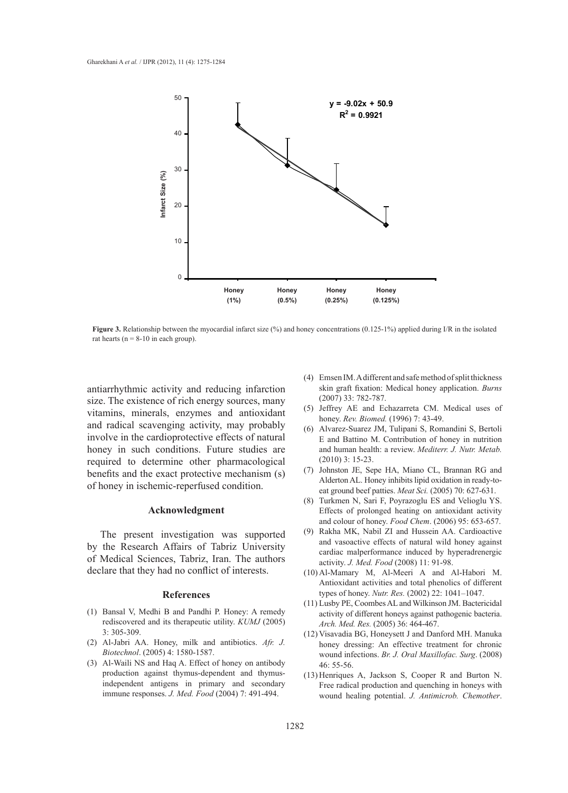

**Figure 3.** Relationship between the myocardial infarct size (%) and honey concentrations (0.125-1%) applied during I/R in the isolated rat hearts ( $n = 8-10$  in each group).

antiarrhythmic activity and reducing infarction size. The existence of rich energy sources, many vitamins, minerals, enzymes and antioxidant and radical scavenging activity, may probably involve in the cardioprotective effects of natural honey in such conditions. Future studies are required to determine other pharmacological benefits and the exact protective mechanism (s) of honey in ischemic-reperfused condition.

## **Acknowledgment**

The present investigation was supported by the Research Affairs of Tabriz University of Medical Sciences, Tabriz, Iran. The authors declare that they had no conflict of interests.

#### **References**

- Bansal V, Medhi B and Pandhi P. Honey: A remedy (1) rediscovered and its therapeutic utility. *KUMJ* (2005) 3: 305-309.
- Al-Jabri AA. Honey, milk and antibiotics. *Afr. J.*  (2) *Biotechnol*. (2005) 4: 1580-1587.
- Al-Waili NS and Haq A. Effect of honey on antibody (3) production against thymus-dependent and thymusindependent antigens in primary and secondary immune responses. *J. Med. Food* (2004) 7: 491-494.
- Emsen IM. A different and safe method of split thickness (4) skin graft fixation: Medical honey application. *Burns* (2007) 33: 782-787.
- (5) Jeffrey AE and Echazarreta CM. Medical uses of honey. *Rev. Biomed.* (1996) 7: 43-49.
- Alvarez-Suarez JM, Tulipani S, Romandini S, Bertoli (6) E and Battino M. Contribution of honey in nutrition and human health: a review. *Mediterr. J. Nutr. Metab.* (2010) 3: 15-23.
- (7) Johnston JE, Sepe HA, Miano CL, Brannan RG and Alderton AL. Honey inhibits lipid oxidation in ready-toeat ground beef patties. *Meat Sci.* (2005) 70: 627-631.
- (8) Turkmen N, Sari F, Poyrazoglu ES and Velioglu YS. Effects of prolonged heating on antioxidant activity and colour of honey. *Food Chem*. (2006) 95: 653-657.
- (9) Rakha MK, Nabil ZI and Hussein AA. Cardioactive and vasoactive effects of natural wild honey against cardiac malperformance induced by hyperadrenergic activity. *J. Med. Food* (2008) 11: 91-98.
- Al-Mamary M, Al-Meeri A and Al-Habori M. (10) Antioxidant activities and total phenolics of different types of honey. *Nutr. Res.* (2002) 22: 1041–1047.
- (11) Lusby PE, Coombes AL and Wilkinson JM. Bactericidal activity of different honeys against pathogenic bacteria. *Arch. Med. Res.* (2005) 36: 464-467.
- (12) Visavadia BG, Honeysett J and Danford MH. Manuka honey dressing: An effective treatment for chronic wound infections. *Br. J. Oral Maxillofac. Surg*. (2008) 46: 55-56.
- $(13)$  Henriques A, Jackson S, Cooper R and Burton N. Free radical production and quenching in honeys with wound healing potential. *J. Antimicrob. Chemother*.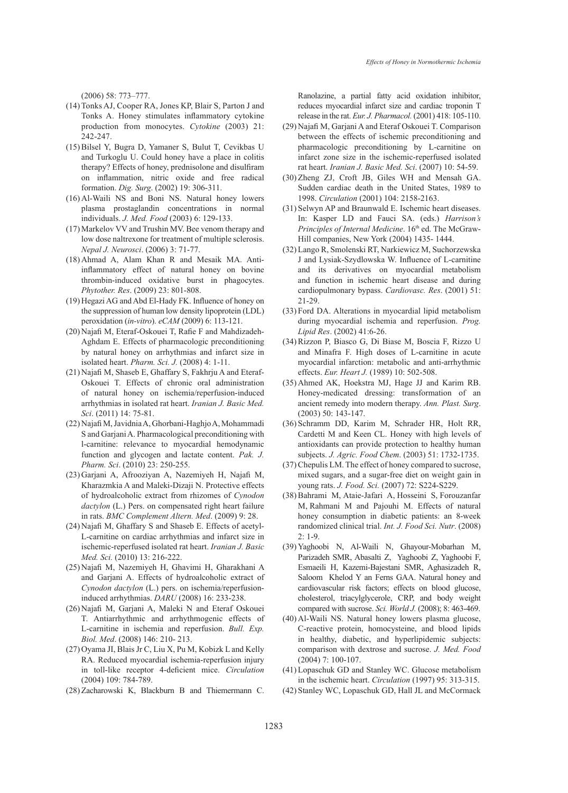(2006) 58: 773–777.

- (14) Tonks AJ, Cooper RA, Jones KP, Blair S, Parton J and Tonks A. Honey stimulates inflammatory cytokine production from monocytes. *Cytokine* (2003) 21: 242-247.
- (15) Bilsel Y, Bugra D, Yamaner S, Bulut T, Cevikbas U and Turkoglu U. Could honey have a place in colitis therapy? Effects of honey, prednisolone and disulfiram on inflammation, nitric oxide and free radical formation. *Dig. Surg*. (2002) 19: 306-311.
- (16) Al-Waili NS and Boni NS. Natural honey lowers plasma prostaglandin concentrations in normal individuals. *J. Med. Food* (2003) 6: 129-133.
- (17) Markelov VV and Trushin MV. Bee venom therapy and low dose naltrexone for treatment of multiple sclerosis. *Nepal J. Neurosci*. (2006) 3: 71-77.
- (18) Ahmad A, Alam Khan R and Mesaik MA. Antiinflammatory effect of natural honey on bovine thrombin-induced oxidative burst in phagocytes. *Phytother. Res*. (2009) 23: 801-808.
- (19) Hegazi AG and Abd El-Hady FK. Influence of honey on the suppression of human low density lipoprotein (LDL) peroxidation (*in-vitro*). *eCAM* (2009) 6: 113-121.
- (20) Najafi M, Eteraf-Oskouei T, Rafie F and Mahdizadeh-Aghdam E. Effects of pharmacologic preconditioning by natural honey on arrhythmias and infarct size in isolated heart. *Pharm. Sci. J.* (2008) 4: 1-11.
- (21) Najafi M, Shaseb E, Ghaffary S, Fakhrju A and Eteraf-Oskouei T. Effects of chronic oral administration of natural honey on ischemia/reperfusion-induced arrhythmias in isolated rat heart. *Iranian J. Basic Med. Sci*. (2011) 14: 75-81.
- (22) Najafi M, Javidnia A, Ghorbani-Haghjo A, Mohammadi S and Garjani A. Pharmacological preconditioning with l-carnitine: relevance to myocardial hemodynamic function and glycogen and lactate content. *Pak. J. Pharm. Sci*. (2010) 23: 250-255.
- (23) Garjani A, Afrooziyan A, Nazemiyeh H, Najafi M, Kharazmkia A and Maleki-Dizaji N. Protective effects of hydroalcoholic extract from rhizomes of *Cynodon dactylon* (L.) Pers. on compensated right heart failure in rats. *BMC Complement Altern. Med*. (2009) 9: 28.
- (24) Najafi M, Ghaffary S and Shaseb E. Effects of acetyl-L-carnitine on cardiac arrhythmias and infarct size in ischemic-reperfused isolated rat heart. *Iranian J. Basic Med. Sci.* (2010) 13: 216-222.
- (25) Najafi M, Nazemiyeh H, Ghavimi H, Gharakhani A and Garjani A. Effects of hydroalcoholic extract of *Cynodon dactylon* (L.) pers. on ischemia/reperfusioninduced arrhythmias. *DARU* (2008) 16: 233-238.
- (26) Najafi M, Garjani A, Maleki N and Eteraf Oskouei T. Antiarrhythmic and arrhythmogenic effects of L-carnitine in ischemia and reperfusion. *Bull. Exp. Biol. Med*. (2008) 146: 210- 213.
- $(27)$  Oyama JI, Blais Jr C, Liu X, Pu M, Kobizk L and Kelly RA. Reduced myocardial ischemia-reperfusion injury in toll-like receptor 4-deficient mice. *Circulation* (2004) 109: 784-789.
- (28) Zacharowski K, Blackburn B and Thiemermann C.

Ranolazine, a partial fatty acid oxidation inhibitor, reduces myocardial infarct size and cardiac troponin T release in the rat. *Eur. J. Pharmacol.* (2001) 418: 105-110.

- (29) Najafi M, Garjani A and Eteraf Oskouei T. Comparison between the effects of ischemic preconditioning and pharmacologic preconditioning by L-carnitine on infarct zone size in the ischemic-reperfused isolated rat heart. *Iranian J. Basic Med. Sci*. (2007) 10: 54-59.
- (30) Zheng ZJ, Croft JB, Giles WH and Mensah GA. Sudden cardiac death in the United States, 1989 to 1998. *Circulation* (2001) 104: 2158-2163.
- $(31)$  Selwyn AP and Braunwald E. Ischemic heart diseases. In: Kasper LD and Fauci SA. (eds.) *Harrison's Principles of Internal Medicine*. 16<sup>th</sup> ed. The McGraw-Hill companies, New York (2004) 1435- 1444.
- Lango R, Smolenski RT, Narkiewicz M, Suchorzewska (32) J and Lysiak-Szydlowska W. Influence of L-carnitine and its derivatives on myocardial metabolism and function in ischemic heart disease and during cardiopulmonary bypass. *Cardiovasc. Res*. (2001) 51: 21-29.
- (33) Ford DA. Alterations in myocardial lipid metabolism during myocardial ischemia and reperfusion. *Prog. Lipid Res*. (2002) 41:6-26.
- Rizzon P, Biasco G, Di Biase M, Boscia F, Rizzo U (34) and Minafra F. High doses of L-carnitine in acute myocardial infarction: metabolic and anti-arrhythmic effects. *Eur. Heart J.* (1989) 10: 502-508.
- (35) Ahmed AK, Hoekstra MJ, Hage JJ and Karim RB. Honey-medicated dressing: transformation of an ancient remedy into modern therapy. *Ann. Plast. Surg*. (2003) 50: 143-147.
- (36) Schramm DD, Karim M, Schrader HR, Holt RR, Cardetti M and Keen CL. Honey with high levels of antioxidants can provide protection to healthy human subjects. *J. Agric. Food Chem*. (2003) 51: 1732-1735.
- (37) Chepulis LM. The effect of honey compared to sucrose, mixed sugars, and a sugar-free diet on weight gain in young rats. *J. Food. Sci.* (2007) 72: S224-S229.
- Bahrami M, Ataie-Jafari A, Hosseini S, Forouzanfar (38) M, Rahmani M and Pajouhi M. Effects of natural honey consumption in diabetic patients: an 8-week randomized clinical trial. *Int. J. Food Sci. Nutr*. (2008)  $2: 1-9$
- (39) Yaghoobi N, Al-Waili N, Ghayour-Mobarhan M, Parizadeh SMR, Abasalti Z, Yaghoobi Z, Yaghoobi F, Esmaeili H, Kazemi-Bajestani SMR, Aghasizadeh R, Saloom Khelod Y an Ferns GAA. Natural honey and cardiovascular risk factors; effects on blood glucose, cholesterol, triacylglycerole, CRP, and body weight compared with sucrose. *Sci. World J.* (2008); 8: 463-469.
- Al-Waili NS. Natural honey lowers plasma glucose, (40) C-reactive protein, homocysteine, and blood lipids in healthy, diabetic, and hyperlipidemic subjects: comparison with dextrose and sucrose. *J. Med. Food* (2004) 7: 100-107.
- (41) Lopaschuk GD and Stanley WC. Glucose metabolism in the ischemic heart. *Circulation* (1997) 95: 313-315.
- (42) Stanley WC, Lopaschuk GD, Hall JL and McCormack